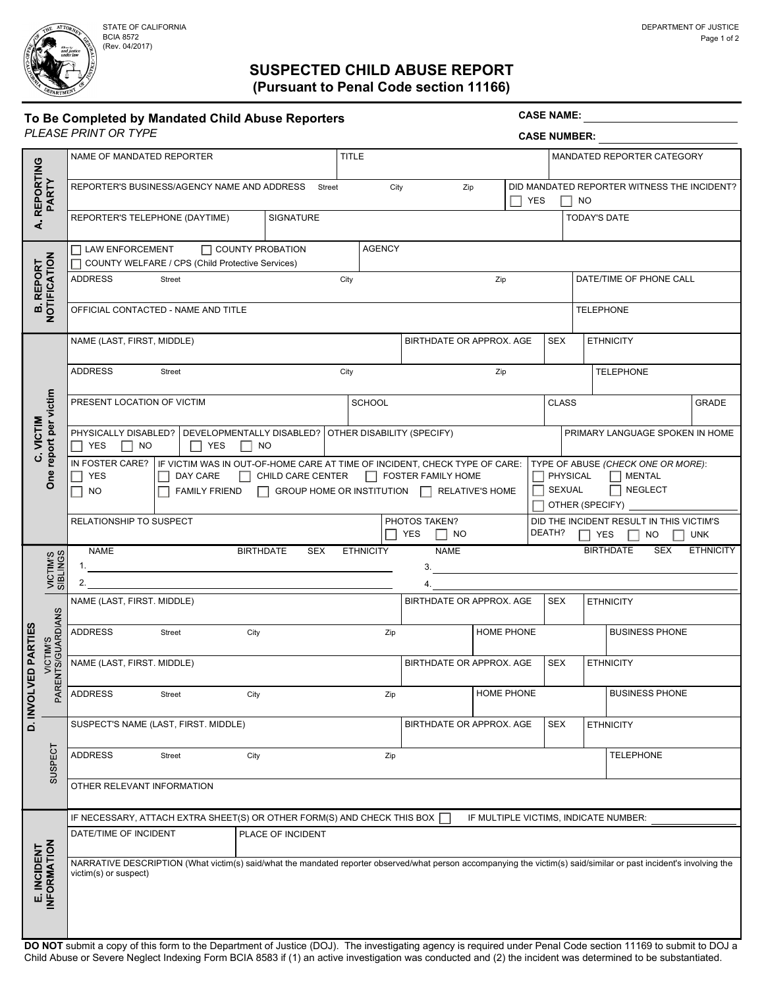BCIA 8572 (Rev. 04/2017)

# SUSPECTED CHILD ABUSE REPORT (Pursuant to Penal Code section 11166)

| A REPORTING                |                                    |                                                                                                                                                                                                                                                                                                                             |                                                                                                                                                                                                     |                                          |                          |            |                                                                                   | <b>CASE NAME:</b><br><b>CASE NUMBER:</b> |                                                                                |  |  |  |  |
|----------------------------|------------------------------------|-----------------------------------------------------------------------------------------------------------------------------------------------------------------------------------------------------------------------------------------------------------------------------------------------------------------------------|-----------------------------------------------------------------------------------------------------------------------------------------------------------------------------------------------------|------------------------------------------|--------------------------|------------|-----------------------------------------------------------------------------------|------------------------------------------|--------------------------------------------------------------------------------|--|--|--|--|
|                            |                                    |                                                                                                                                                                                                                                                                                                                             |                                                                                                                                                                                                     | <b>TITLE</b>                             |                          |            |                                                                                   |                                          |                                                                                |  |  |  |  |
|                            |                                    | NAME OF MANDATED REPORTER                                                                                                                                                                                                                                                                                                   |                                                                                                                                                                                                     |                                          |                          |            |                                                                                   | MANDATED REPORTER CATEGORY               |                                                                                |  |  |  |  |
|                            | PARTY                              | REPORTER'S BUSINESS/AGENCY NAME AND ADDRESS Street                                                                                                                                                                                                                                                                          |                                                                                                                                                                                                     | City<br>Zip                              |                          | <b>YES</b> | DID MANDATED REPORTER WITNESS THE INCIDENT?<br><b>NO</b>                          |                                          |                                                                                |  |  |  |  |
|                            |                                    | REPORTER'S TELEPHONE (DAYTIME)                                                                                                                                                                                                                                                                                              | SIGNATURE                                                                                                                                                                                           |                                          |                          |            |                                                                                   |                                          | <b>TODAY'S DATE</b>                                                            |  |  |  |  |
|                            |                                    | <b>AGENCY</b><br>$\Box$ LAW ENFORCEMENT<br>$\Box$ COUNTY PROBATION                                                                                                                                                                                                                                                          |                                                                                                                                                                                                     |                                          |                          |            |                                                                                   |                                          |                                                                                |  |  |  |  |
| <b>REPORT</b>              |                                    | COUNTY WELFARE / CPS (Child Protective Services)                                                                                                                                                                                                                                                                            |                                                                                                                                                                                                     |                                          |                          |            |                                                                                   |                                          |                                                                                |  |  |  |  |
|                            |                                    | <b>ADDRESS</b><br>Street                                                                                                                                                                                                                                                                                                    | City<br>Zip                                                                                                                                                                                         |                                          |                          |            | DATE/TIME OF PHONE CALL                                                           |                                          |                                                                                |  |  |  |  |
| NOTIFICATION<br>œ          |                                    | OFFICIAL CONTACTED - NAME AND TITLE<br><b>TELEPHONE</b>                                                                                                                                                                                                                                                                     |                                                                                                                                                                                                     |                                          |                          |            |                                                                                   |                                          |                                                                                |  |  |  |  |
|                            | report per victim<br>One           | NAME (LAST, FIRST, MIDDLE)                                                                                                                                                                                                                                                                                                  |                                                                                                                                                                                                     |                                          | BIRTHDATE OR APPROX. AGE |            |                                                                                   | <b>SEX</b>                               | <b>ETHNICITY</b>                                                               |  |  |  |  |
|                            |                                    | <b>ADDRESS</b><br>Street                                                                                                                                                                                                                                                                                                    |                                                                                                                                                                                                     | City<br>Zip                              |                          |            | <b>TELEPHONE</b>                                                                  |                                          |                                                                                |  |  |  |  |
|                            |                                    | PRESENT LOCATION OF VICTIM                                                                                                                                                                                                                                                                                                  |                                                                                                                                                                                                     | <b>SCHOOL</b>                            |                          |            |                                                                                   | <b>CLASS</b>                             | <b>GRADE</b>                                                                   |  |  |  |  |
| VICTIM                     |                                    | PHYSICALLY DISABLED?   DEVELOPMENTALLY DISABLED?   OTHER DISABILITY (SPECIFY)<br>$\Box$ YES<br>$\Box$ NO<br>$\Box$ YES<br>$\Box$ NO                                                                                                                                                                                         |                                                                                                                                                                                                     |                                          |                          |            | PRIMARY LANGUAGE SPOKEN IN HOME                                                   |                                          |                                                                                |  |  |  |  |
|                            |                                    | <b>YES</b><br>DAY CARE<br>$\Box$ NO                                                                                                                                                                                                                                                                                         | IN FOSTER CARE? IF VICTIM WAS IN OUT-OF-HOME CARE AT TIME OF INCIDENT, CHECK TYPE OF CARE:<br>CHILD CARE CENTER   FOSTER FAMILY HOME<br>FAMILY FRIEND □ GROUP HOME OR INSTITUTION □ RELATIVE'S HOME |                                          | $\Box$                   | SEXUAL     | TYPE OF ABUSE (CHECK ONE OR MORE):<br>PHYSICAL<br>$\Box$ MENTAL<br>$\Box$ NEGLECT |                                          |                                                                                |  |  |  |  |
|                            |                                    |                                                                                                                                                                                                                                                                                                                             |                                                                                                                                                                                                     |                                          |                          |            |                                                                                   |                                          | OTHER (SPECIFY) _____                                                          |  |  |  |  |
|                            |                                    | RELATIONSHIP TO SUSPECT                                                                                                                                                                                                                                                                                                     |                                                                                                                                                                                                     | PHOTOS TAKEN?<br><b>YES</b><br>$\Box$ NO |                          |            | DEATH?                                                                            |                                          | DID THE INCIDENT RESULT IN THIS VICTIM'S<br>$\Box$ YES $\Box$ NO<br><b>UNK</b> |  |  |  |  |
|                            |                                    | <b>BIRTHDATE</b><br><b>SEX</b><br><b>BIRTHDATE</b><br><b>ETHNICITY</b><br><b>NAME</b><br><b>ETHNICITY</b><br>NAME<br>SEX<br>1.                                                                                                                                                                                              |                                                                                                                                                                                                     |                                          |                          |            |                                                                                   |                                          |                                                                                |  |  |  |  |
|                            | VICTIM'S<br>SIBLINGS               | <u> 1989 - Johann Stoff, deutscher Stoff, der Stoff, der Stoff, der Stoff, der Stoff, der Stoff, der Stoff, der S</u><br>3.<br>2.<br>4.                                                                                                                                                                                     |                                                                                                                                                                                                     |                                          |                          |            |                                                                                   |                                          |                                                                                |  |  |  |  |
|                            | /ICTIM'S<br>TS/GUARDIANS<br>PARENT | NAME (LAST, FIRST. MIDDLE)                                                                                                                                                                                                                                                                                                  |                                                                                                                                                                                                     |                                          | BIRTHDATE OR APPROX. AGE |            |                                                                                   | <b>SEX</b>                               | <b>ETHNICITY</b>                                                               |  |  |  |  |
| <b>PARTIES</b>             |                                    | <b>ADDRESS</b><br>Street<br>City                                                                                                                                                                                                                                                                                            |                                                                                                                                                                                                     | Zip                                      | HOME PHONE               |            |                                                                                   |                                          | <b>BUSINESS PHONE</b>                                                          |  |  |  |  |
|                            |                                    | NAME (LAST, FIRST. MIDDLE)                                                                                                                                                                                                                                                                                                  |                                                                                                                                                                                                     |                                          | BIRTHDATE OR APPROX. AGE |            |                                                                                   | <b>SEX</b>                               | <b>ETHNICITY</b>                                                               |  |  |  |  |
| D. INVOLVED                |                                    | <b>ADDRESS</b><br><b>Street</b>                                                                                                                                                                                                                                                                                             | City                                                                                                                                                                                                |                                          | <b>HOME PHONE</b><br>Zip |            |                                                                                   | <b>BUSINESS PHONE</b>                    |                                                                                |  |  |  |  |
|                            | SUSPECT                            | SUSPECT'S NAME (LAST, FIRST. MIDDLE)                                                                                                                                                                                                                                                                                        |                                                                                                                                                                                                     |                                          | BIRTHDATE OR APPROX. AGE |            |                                                                                   | <b>SEX</b>                               | <b>ETHNICITY</b>                                                               |  |  |  |  |
|                            |                                    | <b>ADDRESS</b><br>City<br>Street                                                                                                                                                                                                                                                                                            |                                                                                                                                                                                                     | Zip                                      |                          |            |                                                                                   |                                          | <b>TELEPHONE</b>                                                               |  |  |  |  |
|                            |                                    | OTHER RELEVANT INFORMATION                                                                                                                                                                                                                                                                                                  |                                                                                                                                                                                                     |                                          |                          |            |                                                                                   |                                          |                                                                                |  |  |  |  |
|                            |                                    | IF NECESSARY, ATTACH EXTRA SHEET(S) OR OTHER FORM(S) AND CHECK THIS BOX $\Box$<br>IF MULTIPLE VICTIMS, INDICATE NUMBER:                                                                                                                                                                                                     |                                                                                                                                                                                                     |                                          |                          |            |                                                                                   |                                          |                                                                                |  |  |  |  |
|                            |                                    | DATE/TIME OF INCIDENT<br>PLACE OF INCIDENT                                                                                                                                                                                                                                                                                  |                                                                                                                                                                                                     |                                          |                          |            |                                                                                   |                                          |                                                                                |  |  |  |  |
| E. INCIDENT<br>INFORMATION |                                    | NARRATIVE DESCRIPTION (What victim(s) said/what the mandated reporter observed/what person accompanying the victim(s) said/similar or past incident's involving the<br>victim(s) or suspect)                                                                                                                                |                                                                                                                                                                                                     |                                          |                          |            |                                                                                   |                                          |                                                                                |  |  |  |  |
|                            |                                    | DO NOT submit a copy of this form to the Department of Justice (DOJ). The investigating agency is required under Penal Code section 11169 to submit to DOJ a<br>Child Abuse or Severe Neglect Indexing Form BCIA 8583 if (1) an active investigation was conducted and (2) the incident was determined to be substantiated. |                                                                                                                                                                                                     |                                          |                          |            |                                                                                   |                                          |                                                                                |  |  |  |  |